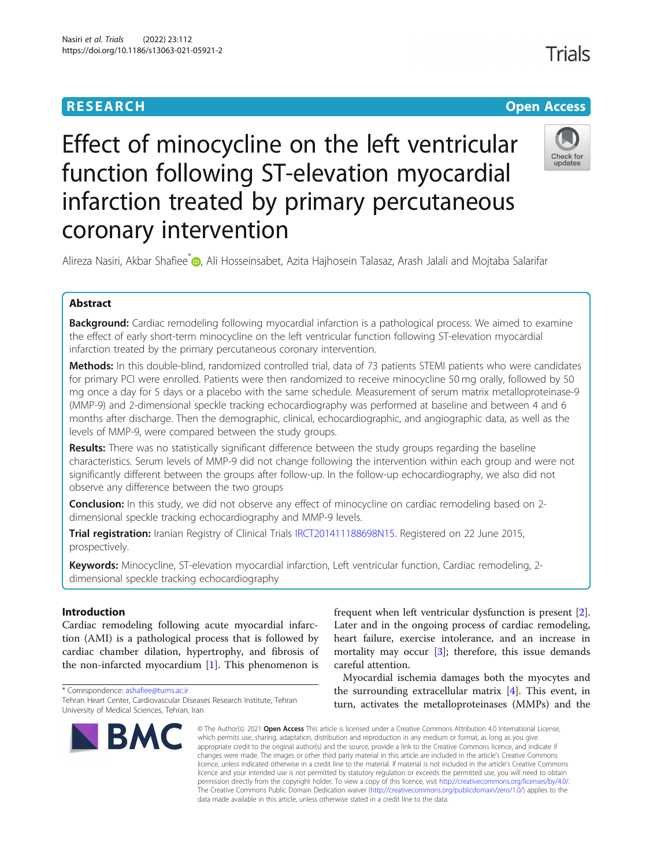# **RESEARCH CHE Open Access**

# Check for undate

Effect of minocycline on the left ventricular function following ST-elevation myocardial infarction treated by primary percutaneous coronary intervention

Alireza Nasiri, Akbar Shafiee<sup>\*</sup> (D. Ali Hosseinsabet, Azita Hajhosein Talasaz, Arash Jalali and Mojtaba Salarifar

# Abstract

Background: Cardiac remodeling following myocardial infarction is a pathological process. We aimed to examine the effect of early short-term minocycline on the left ventricular function following ST-elevation myocardial infarction treated by the primary percutaneous coronary intervention.

Methods: In this double-blind, randomized controlled trial, data of 73 patients STEMI patients who were candidates for primary PCI were enrolled. Patients were then randomized to receive minocycline 50 mg orally, followed by 50 mg once a day for 5 days or a placebo with the same schedule. Measurement of serum matrix metalloproteinase-9 (MMP-9) and 2-dimensional speckle tracking echocardiography was performed at baseline and between 4 and 6 months after discharge. Then the demographic, clinical, echocardiographic, and angiographic data, as well as the levels of MMP-9, were compared between the study groups.

Results: There was no statistically significant difference between the study groups regarding the baseline characteristics. Serum levels of MMP-9 did not change following the intervention within each group and were not significantly different between the groups after follow-up. In the follow-up echocardiography, we also did not observe any difference between the two groups

**Conclusion:** In this study, we did not observe any effect of minocycline on cardiac remodeling based on 2dimensional speckle tracking echocardiography and MMP-9 levels.

Trial registration: Iranian Registry of Clinical Trials [IRCT201411188698N15](https://en.irct.ir/trial/9192). Registered on 22 June 2015, prospectively.

Keywords: Minocycline, ST-elevation myocardial infarction, Left ventricular function, Cardiac remodeling, 2dimensional speckle tracking echocardiography

## Introduction

Cardiac remodeling following acute myocardial infarction (AMI) is a pathological process that is followed by cardiac chamber dilation, hypertrophy, and fibrosis of the non-infarcted myocardium  $[1]$  $[1]$ . This phenomenon is

\* Correspondence: [ashafiee@tums.ac.ir](mailto:ashafiee@tums.ac.ir) Tehran Heart Center, Cardiovascular Diseases Research Institute, Tehran University of Medical Sciences, Tehran, Iran



frequent when left ventricular dysfunction is present [\[2](#page-5-0)]. Later and in the ongoing process of cardiac remodeling, heart failure, exercise intolerance, and an increase in mortality may occur [\[3\]](#page-5-0); therefore, this issue demands careful attention.

Myocardial ischemia damages both the myocytes and the surrounding extracellular matrix [\[4](#page-5-0)]. This event, in turn, activates the metalloproteinases (MMPs) and the

© The Author(s), 2021 **Open Access** This article is licensed under a Creative Commons Attribution 4.0 International License, which permits use, sharing, adaptation, distribution and reproduction in any medium or format, as long as you give appropriate credit to the original author(s) and the source, provide a link to the Creative Commons licence, and indicate if changes were made. The images or other third party material in this article are included in the article's Creative Commons licence, unless indicated otherwise in a credit line to the material. If material is not included in the article's Creative Commons licence and your intended use is not permitted by statutory regulation or exceeds the permitted use, you will need to obtain permission directly from the copyright holder. To view a copy of this licence, visit [http://creativecommons.org/licenses/by/4.0/.](http://creativecommons.org/licenses/by/4.0/) The Creative Commons Public Domain Dedication waiver [\(http://creativecommons.org/publicdomain/zero/1.0/](http://creativecommons.org/publicdomain/zero/1.0/)) applies to the data made available in this article, unless otherwise stated in a credit line to the data.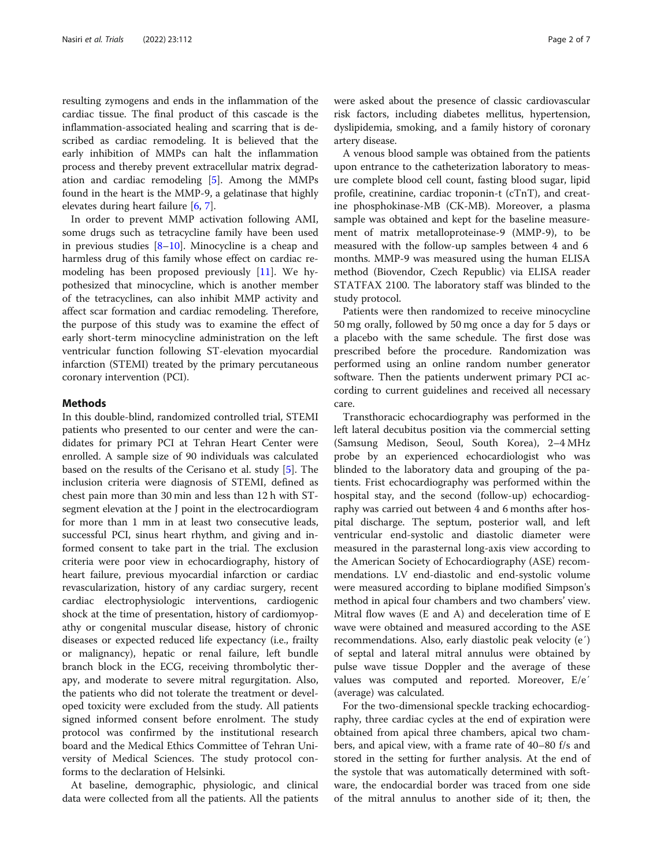resulting zymogens and ends in the inflammation of the cardiac tissue. The final product of this cascade is the inflammation-associated healing and scarring that is described as cardiac remodeling. It is believed that the early inhibition of MMPs can halt the inflammation process and thereby prevent extracellular matrix degradation and cardiac remodeling [[5\]](#page-5-0). Among the MMPs found in the heart is the MMP-9, a gelatinase that highly elevates during heart failure [[6,](#page-5-0) [7\]](#page-5-0).

In order to prevent MMP activation following AMI, some drugs such as tetracycline family have been used in previous studies  $[8-10]$  $[8-10]$  $[8-10]$  $[8-10]$ . Minocycline is a cheap and harmless drug of this family whose effect on cardiac remodeling has been proposed previously [\[11\]](#page-5-0). We hypothesized that minocycline, which is another member of the tetracyclines, can also inhibit MMP activity and affect scar formation and cardiac remodeling. Therefore, the purpose of this study was to examine the effect of early short-term minocycline administration on the left ventricular function following ST-elevation myocardial infarction (STEMI) treated by the primary percutaneous coronary intervention (PCI).

#### **Methods**

In this double-blind, randomized controlled trial, STEMI patients who presented to our center and were the candidates for primary PCI at Tehran Heart Center were enrolled. A sample size of 90 individuals was calculated based on the results of the Cerisano et al. study [[5\]](#page-5-0). The inclusion criteria were diagnosis of STEMI, defined as chest pain more than 30 min and less than 12 h with STsegment elevation at the J point in the electrocardiogram for more than 1 mm in at least two consecutive leads, successful PCI, sinus heart rhythm, and giving and informed consent to take part in the trial. The exclusion criteria were poor view in echocardiography, history of heart failure, previous myocardial infarction or cardiac revascularization, history of any cardiac surgery, recent cardiac electrophysiologic interventions, cardiogenic shock at the time of presentation, history of cardiomyopathy or congenital muscular disease, history of chronic diseases or expected reduced life expectancy (i.e., frailty or malignancy), hepatic or renal failure, left bundle branch block in the ECG, receiving thrombolytic therapy, and moderate to severe mitral regurgitation. Also, the patients who did not tolerate the treatment or developed toxicity were excluded from the study. All patients signed informed consent before enrolment. The study protocol was confirmed by the institutional research board and the Medical Ethics Committee of Tehran University of Medical Sciences. The study protocol conforms to the declaration of Helsinki.

At baseline, demographic, physiologic, and clinical data were collected from all the patients. All the patients were asked about the presence of classic cardiovascular risk factors, including diabetes mellitus, hypertension, dyslipidemia, smoking, and a family history of coronary artery disease.

A venous blood sample was obtained from the patients upon entrance to the catheterization laboratory to measure complete blood cell count, fasting blood sugar, lipid profile, creatinine, cardiac troponin-t (cTnT), and creatine phosphokinase-MB (CK-MB). Moreover, a plasma sample was obtained and kept for the baseline measurement of matrix metalloproteinase-9 (MMP-9), to be measured with the follow-up samples between 4 and 6 months. MMP-9 was measured using the human ELISA method (Biovendor, Czech Republic) via ELISA reader STATFAX 2100. The laboratory staff was blinded to the study protocol.

Patients were then randomized to receive minocycline 50 mg orally, followed by 50 mg once a day for 5 days or a placebo with the same schedule. The first dose was prescribed before the procedure. Randomization was performed using an online random number generator software. Then the patients underwent primary PCI according to current guidelines and received all necessary care.

Transthoracic echocardiography was performed in the left lateral decubitus position via the commercial setting (Samsung Medison, Seoul, South Korea), 2–4 MHz probe by an experienced echocardiologist who was blinded to the laboratory data and grouping of the patients. Frist echocardiography was performed within the hospital stay, and the second (follow-up) echocardiography was carried out between 4 and 6 months after hospital discharge. The septum, posterior wall, and left ventricular end-systolic and diastolic diameter were measured in the parasternal long-axis view according to the American Society of Echocardiography (ASE) recommendations. LV end-diastolic and end-systolic volume were measured according to biplane modified Simpson's method in apical four chambers and two chambers' view. Mitral flow waves (E and A) and deceleration time of E wave were obtained and measured according to the ASE recommendations. Also, early diastolic peak velocity (e′) of septal and lateral mitral annulus were obtained by pulse wave tissue Doppler and the average of these values was computed and reported. Moreover, E/e′ (average) was calculated.

For the two-dimensional speckle tracking echocardiography, three cardiac cycles at the end of expiration were obtained from apical three chambers, apical two chambers, and apical view, with a frame rate of 40–80 f/s and stored in the setting for further analysis. At the end of the systole that was automatically determined with software, the endocardial border was traced from one side of the mitral annulus to another side of it; then, the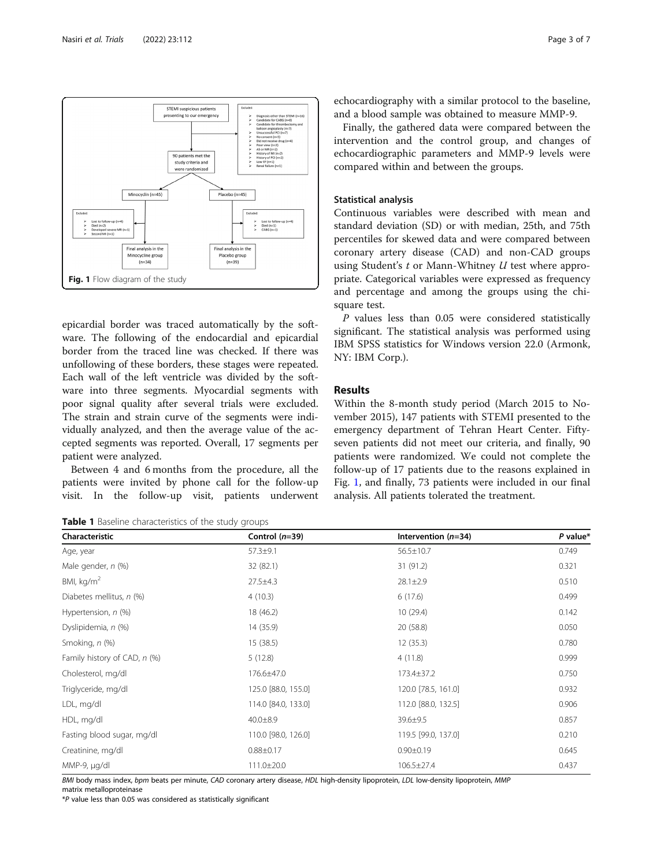<span id="page-2-0"></span>

epicardial border was traced automatically by the software. The following of the endocardial and epicardial border from the traced line was checked. If there was unfollowing of these borders, these stages were repeated. Each wall of the left ventricle was divided by the software into three segments. Myocardial segments with poor signal quality after several trials were excluded. The strain and strain curve of the segments were individually analyzed, and then the average value of the accepted segments was reported. Overall, 17 segments per patient were analyzed.

Between 4 and 6 months from the procedure, all the patients were invited by phone call for the follow-up visit. In the follow-up visit, patients underwent

Table 1 Baseline characteristics of the study groups

echocardiography with a similar protocol to the baseline, and a blood sample was obtained to measure MMP-9.

Finally, the gathered data were compared between the intervention and the control group, and changes of echocardiographic parameters and MMP-9 levels were compared within and between the groups.

#### Statistical analysis

Continuous variables were described with mean and standard deviation (SD) or with median, 25th, and 75th percentiles for skewed data and were compared between coronary artery disease (CAD) and non-CAD groups using Student's t or Mann-Whitney U test where appropriate. Categorical variables were expressed as frequency and percentage and among the groups using the chisquare test.

P values less than 0.05 were considered statistically significant. The statistical analysis was performed using IBM SPSS statistics for Windows version 22.0 (Armonk, NY: IBM Corp.).

#### Results

Within the 8-month study period (March 2015 to November 2015), 147 patients with STEMI presented to the emergency department of Tehran Heart Center. Fiftyseven patients did not meet our criteria, and finally, 90 patients were randomized. We could not complete the follow-up of 17 patients due to the reasons explained in Fig. 1, and finally, 73 patients were included in our final analysis. All patients tolerated the treatment.

| Characteristic               | Control $(n=39)$    | Intervention $(n=34)$ | $P$ value* |
|------------------------------|---------------------|-----------------------|------------|
| Age, year                    | $57.3 + 9.1$        | $56.5 \pm 10.7$       | 0.749      |
| Male gender, n (%)           | 32 (82.1)           | 31(91.2)              | 0.321      |
| BMI, $kg/m2$                 | $27.5 \pm 4.3$      | $28.1 \pm 2.9$        | 0.510      |
| Diabetes mellitus, n (%)     | 4(10.3)             | 6(17.6)               | 0.499      |
| Hypertension, n (%)          | 18 (46.2)           | 10(29.4)              | 0.142      |
| Dyslipidemia, n (%)          | 14 (35.9)           | 20(58.8)              | 0.050      |
| Smoking, n (%)               | 15 (38.5)           | 12(35.3)              | 0.780      |
| Family history of CAD, n (%) | 5(12.8)             | 4(11.8)               | 0.999      |
| Cholesterol, mg/dl           | 176.6±47.0          | 173.4±37.2            | 0.750      |
| Triglyceride, mg/dl          | 125.0 [88.0, 155.0] | 120.0 [78.5, 161.0]   | 0.932      |
| LDL, mg/dl                   | 114.0 [84.0, 133.0] | 112.0 [88.0, 132.5]   | 0.906      |
| HDL, mg/dl                   | 40.0±8.9            | 39.6±9.5              | 0.857      |
| Fasting blood sugar, mg/dl   | 110.0 [98.0, 126.0] | 119.5 [99.0, 137.0]   | 0.210      |
| Creatinine, mg/dl            | $0.88 \pm 0.17$     | $0.90 \pm 0.19$       | 0.645      |
| MMP-9, µg/dl                 | 111.0±20.0          | 106.5±27.4            | 0.437      |

BMI body mass index, bpm beats per minute, CAD coronary artery disease, HDL high-density lipoprotein, LDL low-density lipoprotein, MMP matrix metalloproteinase

\*P value less than 0.05 was considered as statistically significant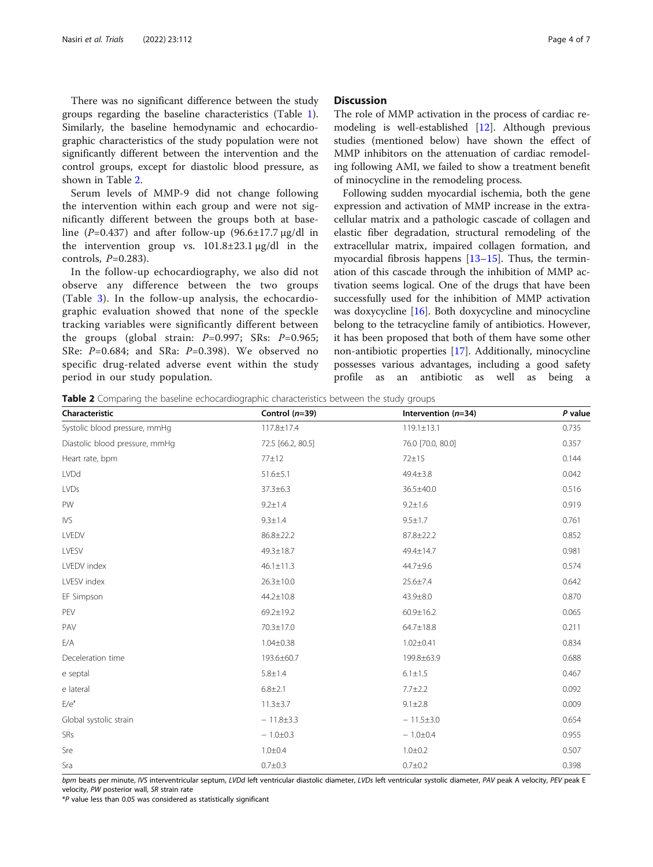There was no significant difference between the study groups regarding the baseline characteristics (Table [1](#page-2-0)). Similarly, the baseline hemodynamic and echocardiographic characteristics of the study population were not significantly different between the intervention and the control groups, except for diastolic blood pressure, as shown in Table 2.

Serum levels of MMP-9 did not change following the intervention within each group and were not significantly different between the groups both at baseline (P=0.437) and after follow-up (96.6 $\pm$ 17.7 μg/dl in the intervention group vs.  $101.8\pm23.1 \,\mu$ g/dl in the controls,  $P=0.283$ ).

In the follow-up echocardiography, we also did not observe any difference between the two groups (Table [3\)](#page-4-0). In the follow-up analysis, the echocardiographic evaluation showed that none of the speckle tracking variables were significantly different between the groups (global strain:  $P=0.997$ ; SRs:  $P=0.965$ ; SRe: P=0.684; and SRa: P=0.398). We observed no specific drug-related adverse event within the study period in our study population.

#### **Discussion**

The role of MMP activation in the process of cardiac remodeling is well-established [\[12\]](#page-5-0). Although previous studies (mentioned below) have shown the effect of MMP inhibitors on the attenuation of cardiac remodeling following AMI, we failed to show a treatment benefit of minocycline in the remodeling process.

Following sudden myocardial ischemia, both the gene expression and activation of MMP increase in the extracellular matrix and a pathologic cascade of collagen and elastic fiber degradation, structural remodeling of the extracellular matrix, impaired collagen formation, and myocardial fibrosis happens [\[13](#page-5-0)–[15\]](#page-5-0). Thus, the termination of this cascade through the inhibition of MMP activation seems logical. One of the drugs that have been successfully used for the inhibition of MMP activation was doxycycline [[16](#page-5-0)]. Both doxycycline and minocycline belong to the tetracycline family of antibiotics. However, it has been proposed that both of them have some other non-antibiotic properties [\[17](#page-6-0)]. Additionally, minocycline possesses various advantages, including a good safety profile as an antibiotic as well as being a

**Table 2** Comparing the baseline echocardiographic characteristics between the study groups

| Characteristic                 | Control $(n=39)$  | Intervention (n=34) | $P$ value |
|--------------------------------|-------------------|---------------------|-----------|
| Systolic blood pressure, mmHq  | 117.8±17.4        | $119.1 \pm 13.1$    | 0.735     |
| Diastolic blood pressure, mmHg | 72.5 [66.2, 80.5] | 76.0 [70.0, 80.0]   | 0.357     |
| Heart rate, bpm                | 77±12             | 72±15               | 0.144     |
| <b>LVDd</b>                    | $51.6 \pm 5.1$    | 49.4±3.8            | 0.042     |
| <b>LVDs</b>                    | $37.3 \pm 6.3$    | 36.5±40.0           | 0.516     |
| PW                             | $9.2 \pm 1.4$     | $9.2 \pm 1.6$       | 0.919     |
| IVS                            | $9.3 \pm 1.4$     | $9.5 \pm 1.7$       | 0.761     |
| LVEDV                          | 86.8±22.2         | 87.8±22.2           | 0.852     |
| LVESV                          | 49.3±18.7         | 49.4±14.7           | 0.981     |
| LVEDV index                    | $46.1 \pm 11.3$   | 44.7±9.6            | 0.574     |
| LVESV index                    | $26.3 \pm 10.0$   | $25.6 \pm 7.4$      | 0.642     |
| EF Simpson                     | 44.2±10.8         | 43.9±8.0            | 0.870     |
| PEV                            | 69.2±19.2         | $60.9 \pm 16.2$     | 0.065     |
| PAV                            | 70.3±17.0         | $64.7 \pm 18.8$     | 0.211     |
| E/A                            | $1.04 \pm 0.38$   | $1.02 \pm 0.41$     | 0.834     |
| Deceleration time              | 193.6±60.7        | 199.8±63.9          | 0.688     |
| e septal                       | $5.8 \pm 1.4$     | $6.1 \pm 1.5$       | 0.467     |
| e lateral                      | $6.8 \pm 2.1$     | $7.7 \pm 2.2$       | 0.092     |
| E/e'                           | $11.3 \pm 3.7$    | $9.1 \pm 2.8$       | 0.009     |
| Global systolic strain         | $-11.8 \pm 3.3$   | $-11.5 \pm 3.0$     | 0.654     |
| <b>SRs</b>                     | $-1.0 \pm 0.3$    | $-1.0+0.4$          | 0.955     |
| Sre                            | $1.0 + 0.4$       | $1.0 + 0.2$         | 0.507     |
| Sra                            | $0.7 + 0.3$       | $0.7 + 0.2$         | 0.398     |

bpm beats per minute, IVS interventricular septum, LVDd left ventricular diastolic diameter, LVDs left ventricular systolic diameter, PAV peak A velocity, PEV peak E velocity, PW posterior wall, SR strain rate

\*P value less than 0.05 was considered as statistically significant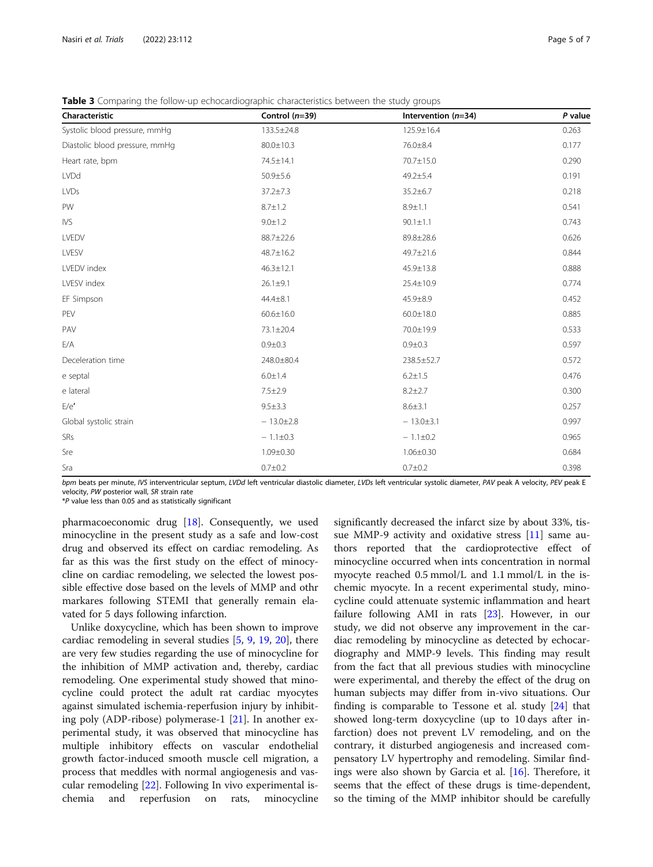<span id="page-4-0"></span>Table 3 Comparing the follow-up echocardiographic characteristics between the study groups

| Characteristic                 | Control $(n=39)$ | Intervention $(n=34)$ | P value |
|--------------------------------|------------------|-----------------------|---------|
| Systolic blood pressure, mmHq  | 133.5±24.8       | 125.9±16.4            | 0.263   |
| Diastolic blood pressure, mmHq | 80.0±10.3        | 76.0±8.4              | 0.177   |
| Heart rate, bpm                | 74.5±14.1        | 70.7±15.0             | 0.290   |
| <b>LVDd</b>                    | 50.9±5.6         | $49.2 \pm 5.4$        | 0.191   |
| LVDs                           | $37.2 \pm 7.3$   | 35.2±6.7              | 0.218   |
| PW                             | $8.7 \pm 1.2$    | $8.9 + 1.1$           | 0.541   |
| <b>IVS</b>                     | $9.0 \pm 1.2$    | $90.1 \pm 1.1$        | 0.743   |
| LVEDV                          | 88.7±22.6        | 89.8±28.6             | 0.626   |
| LVESV                          | 48.7±16.2        | 49.7±21.6             | 0.844   |
| LVEDV index                    | $46.3 \pm 12.1$  | 45.9±13.8             | 0.888   |
| LVESV index                    | $26.1 \pm 9.1$   | 25.4±10.9             | 0.774   |
| EF Simpson                     | $44.4 \pm 8.1$   | 45.9±8.9              | 0.452   |
| PEV                            | $60.6 \pm 16.0$  | $60.0 \pm 18.0$       | 0.885   |
| PAV                            | 73.1±20.4        | 70.0±19.9             | 0.533   |
| E/A                            | $0.9 + 0.3$      | $0.9 + 0.3$           | 0.597   |
| Deceleration time              | 248.0±80.4       | 238.5±52.7            | 0.572   |
| e septal                       | $6.0 \pm 1.4$    | $6.2 \pm 1.5$         | 0.476   |
| e lateral                      | $7.5 \pm 2.9$    | $8.2 \pm 2.7$         | 0.300   |
| E/e'                           | $9.5 \pm 3.3$    | $8.6 + 3.1$           | 0.257   |
| Global systolic strain         | $-13.0 \pm 2.8$  | $-13.0 \pm 3.1$       | 0.997   |
| <b>SRs</b>                     | $-1.1 \pm 0.3$   | $-1.1 \pm 0.2$        | 0.965   |
| Sre                            | $1.09 \pm 0.30$  | $1.06 \pm 0.30$       | 0.684   |
| Sra                            | $0.7 + 0.2$      | $0.7 + 0.2$           | 0.398   |

bpm beats per minute, IVS interventricular septum, LVDd left ventricular diastolic diameter, LVDs left ventricular systolic diameter, PAV peak A velocity, PEV peak E velocity, PW posterior wall, SR strain rate

\*P value less than 0.05 and as statistically significant

pharmacoeconomic drug [\[18](#page-6-0)]. Consequently, we used minocycline in the present study as a safe and low-cost drug and observed its effect on cardiac remodeling. As far as this was the first study on the effect of minocycline on cardiac remodeling, we selected the lowest possible effective dose based on the levels of MMP and othr markares following STEMI that generally remain elavated for 5 days following infarction.

Unlike doxycycline, which has been shown to improve cardiac remodeling in several studies [\[5](#page-5-0), [9,](#page-5-0) [19,](#page-6-0) [20](#page-6-0)], there are very few studies regarding the use of minocycline for the inhibition of MMP activation and, thereby, cardiac remodeling. One experimental study showed that minocycline could protect the adult rat cardiac myocytes against simulated ischemia-reperfusion injury by inhibiting poly (ADP-ribose) polymerase-1 [\[21](#page-6-0)]. In another experimental study, it was observed that minocycline has multiple inhibitory effects on vascular endothelial growth factor-induced smooth muscle cell migration, a process that meddles with normal angiogenesis and vascular remodeling [\[22](#page-6-0)]. Following In vivo experimental ischemia and reperfusion on rats, minocycline

significantly decreased the infarct size by about 33%, tissue MMP-9 activity and oxidative stress [[11\]](#page-5-0) same authors reported that the cardioprotective effect of minocycline occurred when ints concentration in normal myocyte reached 0.5 mmol/L and 1.1 mmol/L in the ischemic myocyte. In a recent experimental study, minocycline could attenuate systemic inflammation and heart failure following AMI in rats [\[23](#page-6-0)]. However, in our study, we did not observe any improvement in the cardiac remodeling by minocycline as detected by echocardiography and MMP-9 levels. This finding may result from the fact that all previous studies with minocycline were experimental, and thereby the effect of the drug on human subjects may differ from in-vivo situations. Our finding is comparable to Tessone et al. study [\[24](#page-6-0)] that showed long-term doxycycline (up to 10 days after infarction) does not prevent LV remodeling, and on the contrary, it disturbed angiogenesis and increased compensatory LV hypertrophy and remodeling. Similar findings were also shown by Garcia et al. [[16\]](#page-5-0). Therefore, it seems that the effect of these drugs is time-dependent, so the timing of the MMP inhibitor should be carefully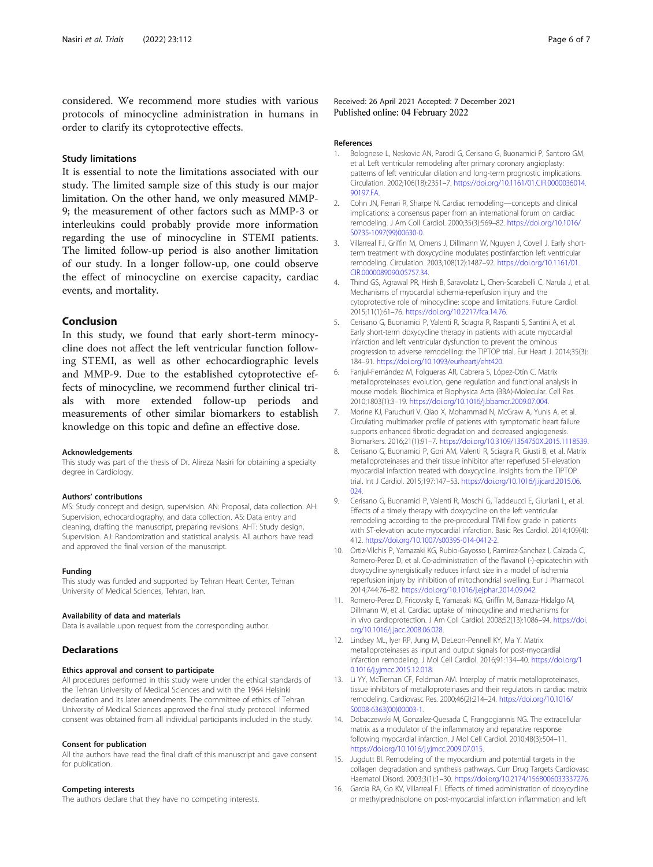<span id="page-5-0"></span>considered. We recommend more studies with various protocols of minocycline administration in humans in order to clarify its cytoprotective effects.

#### Study limitations

It is essential to note the limitations associated with our study. The limited sample size of this study is our major limitation. On the other hand, we only measured MMP-9; the measurement of other factors such as MMP-3 or interleukins could probably provide more information regarding the use of minocycline in STEMI patients. The limited follow-up period is also another limitation of our study. In a longer follow-up, one could observe the effect of minocycline on exercise capacity, cardiac events, and mortality.

#### Conclusion

In this study, we found that early short-term minocycline does not affect the left ventricular function following STEMI, as well as other echocardiographic levels and MMP-9. Due to the established cytoprotective effects of minocycline, we recommend further clinical trials with more extended follow-up periods and measurements of other similar biomarkers to establish knowledge on this topic and define an effective dose.

#### Acknowledgements

This study was part of the thesis of Dr. Alireza Nasiri for obtaining a specialty degree in Cardiology.

#### Authors' contributions

MS: Study concept and design, supervision. AN: Proposal, data collection. AH: Supervision, echocardiography, and data collection. AS: Data entry and cleaning, drafting the manuscript, preparing revisions. AHT: Study design, Supervision. AJ: Randomization and statistical analysis. All authors have read and approved the final version of the manuscript.

#### Funding

This study was funded and supported by Tehran Heart Center, Tehran University of Medical Sciences, Tehran, Iran.

#### Availability of data and materials

Data is available upon request from the corresponding author.

#### Declarations

#### Ethics approval and consent to participate

All procedures performed in this study were under the ethical standards of the Tehran University of Medical Sciences and with the 1964 Helsinki declaration and its later amendments. The committee of ethics of Tehran University of Medical Sciences approved the final study protocol. Informed consent was obtained from all individual participants included in the study.

#### Consent for publication

All the authors have read the final draft of this manuscript and gave consent for publication.

#### Competing interests

The authors declare that they have no competing interests.

Received: 26 April 2021 Accepted: 7 December 2021 Published online: 04 February 2022

#### References

- 1. Bolognese L, Neskovic AN, Parodi G, Cerisano G, Buonamici P, Santoro GM, et al. Left ventricular remodeling after primary coronary angioplasty: patterns of left ventricular dilation and long-term prognostic implications. Circulation. 2002;106(18):2351–7. [https://doi.org/10.1161/01.CIR.0000036014.](https://doi.org/10.1161/01.CIR.0000036014.90197.FA) [90197.FA](https://doi.org/10.1161/01.CIR.0000036014.90197.FA).
- 2. Cohn JN, Ferrari R, Sharpe N. Cardiac remodeling—concepts and clinical implications: a consensus paper from an international forum on cardiac remodeling. J Am Coll Cardiol. 2000;35(3):569–82. [https://doi.org/10.1016/](https://doi.org/10.1016/S0735-1097(99)00630-0) [S0735-1097\(99\)00630-0](https://doi.org/10.1016/S0735-1097(99)00630-0).
- 3. Villarreal FJ, Griffin M, Omens J, Dillmann W, Nguyen J, Covell J. Early shortterm treatment with doxycycline modulates postinfarction left ventricular remodeling. Circulation. 2003;108(12):1487–92. [https://doi.org/10.1161/01.](https://doi.org/10.1161/01.CIR.0000089090.05757.34) [CIR.0000089090.05757.34](https://doi.org/10.1161/01.CIR.0000089090.05757.34).
- 4. Thind GS, Agrawal PR, Hirsh B, Saravolatz L, Chen-Scarabelli C, Narula J, et al. Mechanisms of myocardial ischemia-reperfusion injury and the cytoprotective role of minocycline: scope and limitations. Future Cardiol. 2015;11(1):61–76. [https://doi.org/10.2217/fca.14.76.](https://doi.org/10.2217/fca.14.76)
- 5. Cerisano G, Buonamici P, Valenti R, Sciagra R, Raspanti S, Santini A, et al. Early short-term doxycycline therapy in patients with acute myocardial infarction and left ventricular dysfunction to prevent the ominous progression to adverse remodelling: the TIPTOP trial. Eur Heart J. 2014;35(3): 184–91. <https://doi.org/10.1093/eurheartj/eht420>.
- 6. Fanjul-Fernández M, Folgueras AR, Cabrera S, López-Otín C. Matrix metalloproteinases: evolution, gene regulation and functional analysis in mouse models. Biochimica et Biophysica Acta (BBA)-Molecular. Cell Res. 2010;1803(1):3–19. [https://doi.org/10.1016/j.bbamcr.2009.07.004.](https://doi.org/10.1016/j.bbamcr.2009.07.004)
- 7. Morine KJ, Paruchuri V, Qiao X, Mohammad N, McGraw A, Yunis A, et al. Circulating multimarker profile of patients with symptomatic heart failure supports enhanced fibrotic degradation and decreased angiogenesis. Biomarkers. 2016;21(1):91–7. [https://doi.org/10.3109/1354750X.2015.1118539.](https://doi.org/10.3109/1354750X.2015.1118539)
- 8. Cerisano G, Buonamici P, Gori AM, Valenti R, Sciagra R, Giusti B, et al. Matrix metalloproteinases and their tissue inhibitor after reperfused ST-elevation myocardial infarction treated with doxycycline. Insights from the TIPTOP trial. Int J Cardiol. 2015;197:147–53. [https://doi.org/10.1016/j.ijcard.2015.06.](https://doi.org/10.1016/j.ijcard.2015.06.024) [024.](https://doi.org/10.1016/j.ijcard.2015.06.024)
- 9. Cerisano G, Buonamici P, Valenti R, Moschi G, Taddeucci E, Giurlani L, et al. Effects of a timely therapy with doxycycline on the left ventricular remodeling according to the pre-procedural TIMI flow grade in patients with ST-elevation acute myocardial infarction. Basic Res Cardiol. 2014;109(4): 412. [https://doi.org/10.1007/s00395-014-0412-2.](https://doi.org/10.1007/s00395-014-0412-2)
- 10. Ortiz-Vilchis P, Yamazaki KG, Rubio-Gayosso I, Ramirez-Sanchez I, Calzada C, Romero-Perez D, et al. Co-administration of the flavanol (-)-epicatechin with doxycycline synergistically reduces infarct size in a model of ischemia reperfusion injury by inhibition of mitochondrial swelling. Eur J Pharmacol. 2014;744:76–82. <https://doi.org/10.1016/j.ejphar.2014.09.042>.
- 11. Romero-Perez D, Fricovsky E, Yamasaki KG, Griffin M, Barraza-Hidalgo M, Dillmann W, et al. Cardiac uptake of minocycline and mechanisms for in vivo cardioprotection. J Am Coll Cardiol. 2008;52(13):1086–94. [https://doi.](https://doi.org/10.1016/j.jacc.2008.06.028) [org/10.1016/j.jacc.2008.06.028.](https://doi.org/10.1016/j.jacc.2008.06.028)
- 12. Lindsey ML, Iyer RP, Jung M, DeLeon-Pennell KY, Ma Y. Matrix metalloproteinases as input and output signals for post-myocardial infarction remodeling. J Mol Cell Cardiol. 2016;91:134–40. [https://doi.org/1](https://doi.org/10.1016/j.yjmcc.2015.12.018) [0.1016/j.yjmcc.2015.12.018.](https://doi.org/10.1016/j.yjmcc.2015.12.018)
- 13. Li YY, McTiernan CF, Feldman AM. Interplay of matrix metalloproteinases, tissue inhibitors of metalloproteinases and their regulators in cardiac matrix remodeling. Cardiovasc Res. 2000;46(2):214–24. [https://doi.org/10.1016/](https://doi.org/10.1016/S0008-6363(00)00003-1) [S0008-6363\(00\)00003-1](https://doi.org/10.1016/S0008-6363(00)00003-1).
- 14. Dobaczewski M, Gonzalez-Quesada C, Frangogiannis NG. The extracellular matrix as a modulator of the inflammatory and reparative response following myocardial infarction. J Mol Cell Cardiol. 2010;48(3):504–11. [https://doi.org/10.1016/j.yjmcc.2009.07.015.](https://doi.org/10.1016/j.yjmcc.2009.07.015)
- 15. Jugdutt BI. Remodeling of the myocardium and potential targets in the collagen degradation and synthesis pathways. Curr Drug Targets Cardiovasc Haematol Disord. 2003;3(1):1–30. [https://doi.org/10.2174/1568006033337276.](https://doi.org/10.2174/1568006033337276)
- 16. Garcia RA, Go KV, Villarreal FJ. Effects of timed administration of doxycycline or methylprednisolone on post-myocardial infarction inflammation and left